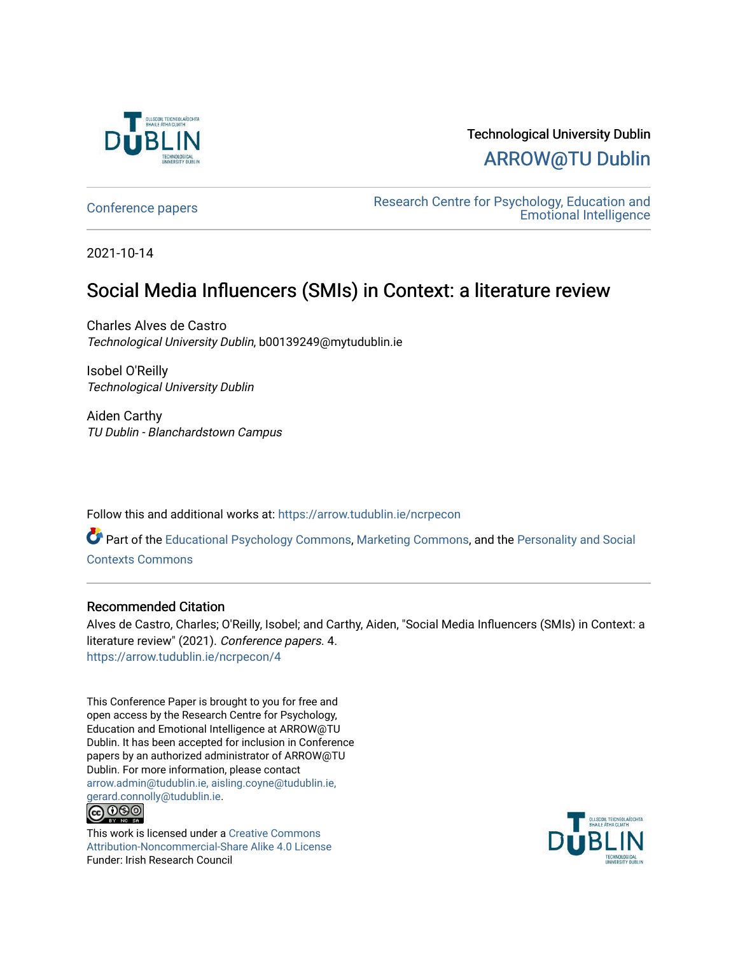

Technological University Dublin [ARROW@TU Dublin](https://arrow.tudublin.ie/) 

[Conference papers](https://arrow.tudublin.ie/ncrpecon) [Research Centre for Psychology, Education and](https://arrow.tudublin.ie/ncrpe)  [Emotional Intelligence](https://arrow.tudublin.ie/ncrpe) 

2021-10-14

### Social Media Influencers (SMIs) in Context: a literature review

Charles Alves de Castro Technological University Dublin, b00139249@mytudublin.ie

Isobel O'Reilly Technological University Dublin

Aiden Carthy TU Dublin - Blanchardstown Campus

Follow this and additional works at: [https://arrow.tudublin.ie/ncrpecon](https://arrow.tudublin.ie/ncrpecon?utm_source=arrow.tudublin.ie%2Fncrpecon%2F4&utm_medium=PDF&utm_campaign=PDFCoverPages) 

Part of the [Educational Psychology Commons,](http://network.bepress.com/hgg/discipline/798?utm_source=arrow.tudublin.ie%2Fncrpecon%2F4&utm_medium=PDF&utm_campaign=PDFCoverPages) [Marketing Commons](http://network.bepress.com/hgg/discipline/638?utm_source=arrow.tudublin.ie%2Fncrpecon%2F4&utm_medium=PDF&utm_campaign=PDFCoverPages), and the [Personality and Social](http://network.bepress.com/hgg/discipline/413?utm_source=arrow.tudublin.ie%2Fncrpecon%2F4&utm_medium=PDF&utm_campaign=PDFCoverPages)  [Contexts Commons](http://network.bepress.com/hgg/discipline/413?utm_source=arrow.tudublin.ie%2Fncrpecon%2F4&utm_medium=PDF&utm_campaign=PDFCoverPages)

#### Recommended Citation

Alves de Castro, Charles; O'Reilly, Isobel; and Carthy, Aiden, "Social Media Influencers (SMIs) in Context: a literature review" (2021). Conference papers. 4. [https://arrow.tudublin.ie/ncrpecon/4](https://arrow.tudublin.ie/ncrpecon/4?utm_source=arrow.tudublin.ie%2Fncrpecon%2F4&utm_medium=PDF&utm_campaign=PDFCoverPages)

This Conference Paper is brought to you for free and open access by the Research Centre for Psychology, Education and Emotional Intelligence at ARROW@TU Dublin. It has been accepted for inclusion in Conference papers by an authorized administrator of ARROW@TU Dublin. For more information, please contact [arrow.admin@tudublin.ie, aisling.coyne@tudublin.ie,](mailto:arrow.admin@tudublin.ie,%20aisling.coyne@tudublin.ie,%20gerard.connolly@tudublin.ie)  [gerard.connolly@tudublin.ie](mailto:arrow.admin@tudublin.ie,%20aisling.coyne@tudublin.ie,%20gerard.connolly@tudublin.ie). **@** 00

This work is licensed under a [Creative Commons](http://creativecommons.org/licenses/by-nc-sa/4.0/) [Attribution-Noncommercial-Share Alike 4.0 License](http://creativecommons.org/licenses/by-nc-sa/4.0/) Funder: Irish Research Council

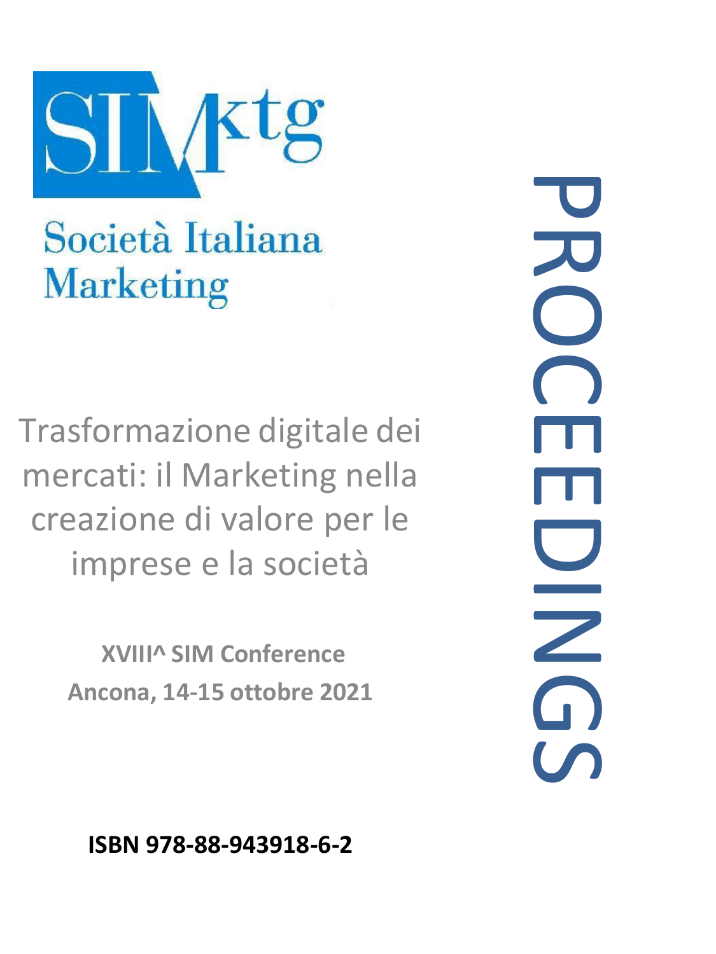

# Società Italiana **Marketing**

Trasformazione digitale dei mercati: il Marketing nella creazione di valore per le imprese e la società

> **XVIII^ SIM Conference Ancona, 14-15 ottobre 2021**

PROCEENS  $\Omega$ 

**ISBN 978-88-943918-6-2**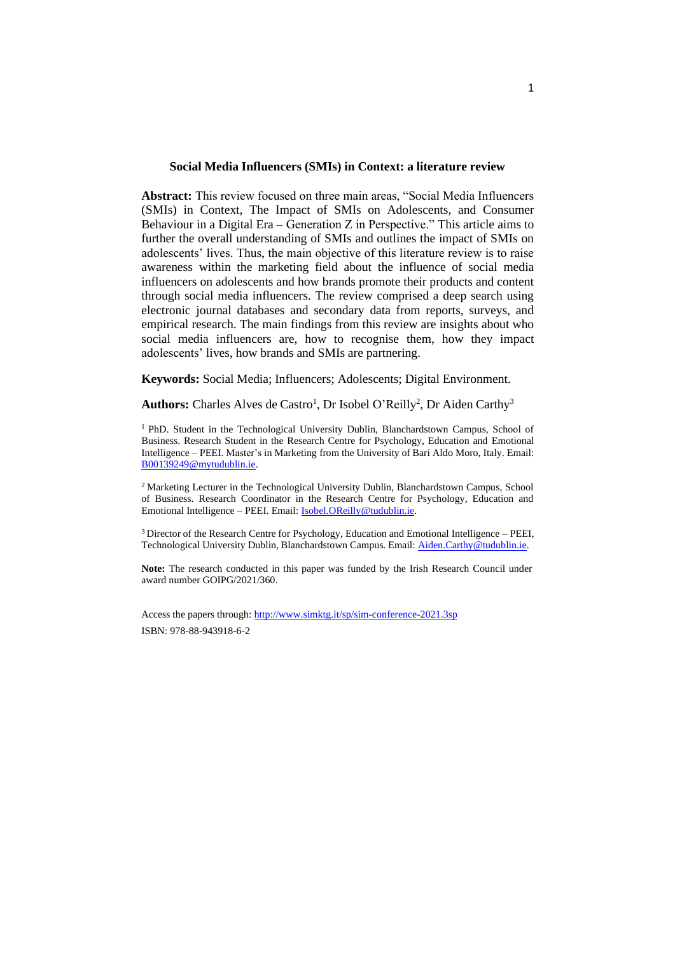#### **Social Media Influencers (SMIs) in Context: a literature review**

**Abstract:** This review focused on three main areas, "Social Media Influencers (SMIs) in Context, The Impact of SMIs on Adolescents, and Consumer Behaviour in a Digital Era – Generation Z in Perspective." This article aims to further the overall understanding of SMIs and outlines the impact of SMIs on adolescents' lives. Thus, the main objective of this literature review is to raise awareness within the marketing field about the influence of social media influencers on adolescents and how brands promote their products and content through social media influencers. The review comprised a deep search using electronic journal databases and secondary data from reports, surveys, and empirical research. The main findings from this review are insights about who social media influencers are, how to recognise them, how they impact adolescents' lives, how brands and SMIs are partnering.

**Keywords:** Social Media; Influencers; Adolescents; Digital Environment.

Authors: Charles Alves de Castro<sup>1</sup>, Dr Isobel O'Reilly<sup>2</sup>, Dr Aiden Carthy<sup>3</sup>

<sup>1</sup> PhD. Student in the Technological University Dublin, Blanchardstown Campus, School of Business. Research Student in the Research Centre for Psychology, Education and Emotional Intelligence – PEEI. Master's in Marketing from the University of Bari Aldo Moro, Italy. Email: [B00139249@mytudublin.ie.](mailto:B00139249@mytudublin.ie)

<sup>2</sup> Marketing Lecturer in the Technological University Dublin, Blanchardstown Campus, School of Business. Research Coordinator in the Research Centre for Psychology, Education and Emotional Intelligence – PEEI. Email: [Isobel.OReilly@tudublin.ie.](mailto:Isobel.OReilly@tudublin.ie)

<sup>3</sup> Director of the Research Centre for Psychology, Education and Emotional Intelligence – PEEI, Technological University Dublin, Blanchardstown Campus. Email: [Aiden.Carthy@tudublin.ie.](mailto:Aiden.Carthy@tudublin.ie)

**Note:** The research conducted in this paper was funded by the Irish Research Council under award number GOIPG/2021/360.

Access the papers through[: http://www.simktg.it/sp/sim-conference-2021.3sp](http://www.simktg.it/sp/sim-conference-2021.3sp) ISBN: 978-88-943918-6-2